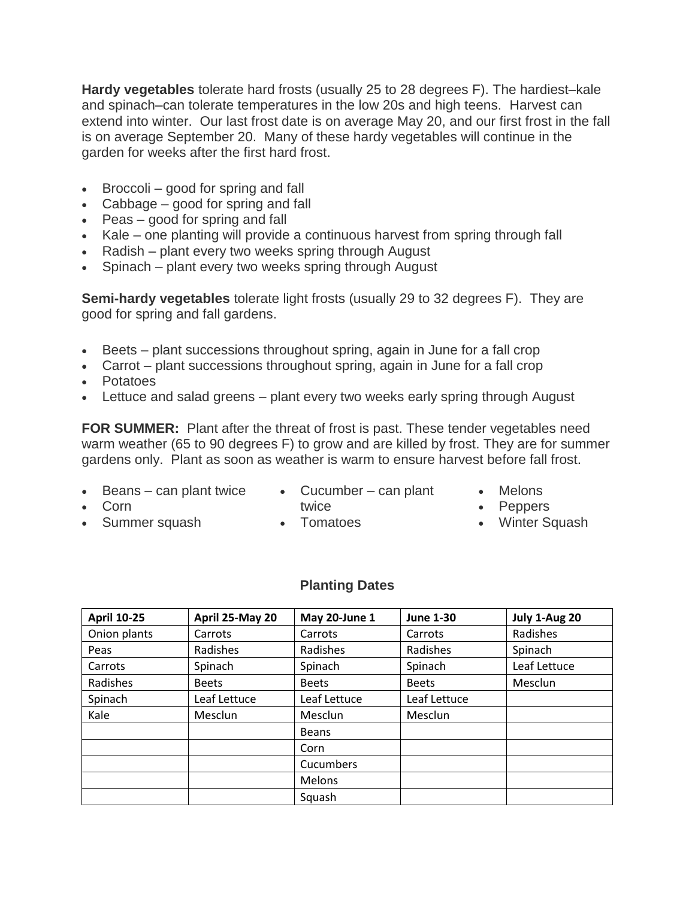**Hardy vegetables** tolerate hard frosts (usually 25 to 28 degrees F). The hardiest–kale and spinach–can tolerate temperatures in the low 20s and high teens. Harvest can extend into winter. Our last frost date is on average May 20, and our first frost in the fall is on average September 20. Many of these hardy vegetables will continue in the garden for weeks after the first hard frost.

- Broccoli good for spring and fall
- Cabbage good for spring and fall
- Peas good for spring and fall
- Kale one planting will provide a continuous harvest from spring through fall
- Radish plant every two weeks spring through August
- Spinach plant every two weeks spring through August

**Semi-hardy vegetables** tolerate light frosts (usually 29 to 32 degrees F). They are good for spring and fall gardens.

- Beets plant successions throughout spring, again in June for a fall crop
- Carrot plant successions throughout spring, again in June for a fall crop
- Potatoes
- Lettuce and salad greens plant every two weeks early spring through August

**FOR SUMMER:** Plant after the threat of frost is past. These tender vegetables need warm weather (65 to 90 degrees F) to grow and are killed by frost. They are for summer gardens only. Plant as soon as weather is warm to ensure harvest before fall frost.

• Beans – can plant twice • Cucumber – can plant

• Summer squash

- twice
- Melons

• Corn

- Tomatoes
- Peppers
- Winter Squash

#### **Planting Dates**

| <b>April 10-25</b> | April 25-May 20 | May 20-June 1 | <b>June 1-30</b> | July 1-Aug 20 |
|--------------------|-----------------|---------------|------------------|---------------|
| Onion plants       | Carrots         | Carrots       | Carrots          | Radishes      |
| Peas               | Radishes        | Radishes      | Radishes         | Spinach       |
| Carrots            | Spinach         | Spinach       | Spinach          | Leaf Lettuce  |
| Radishes           | <b>Beets</b>    | <b>Beets</b>  | <b>Beets</b>     | Mesclun       |
| Spinach            | Leaf Lettuce    | Leaf Lettuce  | Leaf Lettuce     |               |
| Kale               | Mesclun         | Mesclun       | Mesclun          |               |
|                    |                 | <b>Beans</b>  |                  |               |
|                    |                 | Corn          |                  |               |
|                    |                 | Cucumbers     |                  |               |
|                    |                 | Melons        |                  |               |
|                    |                 | Squash        |                  |               |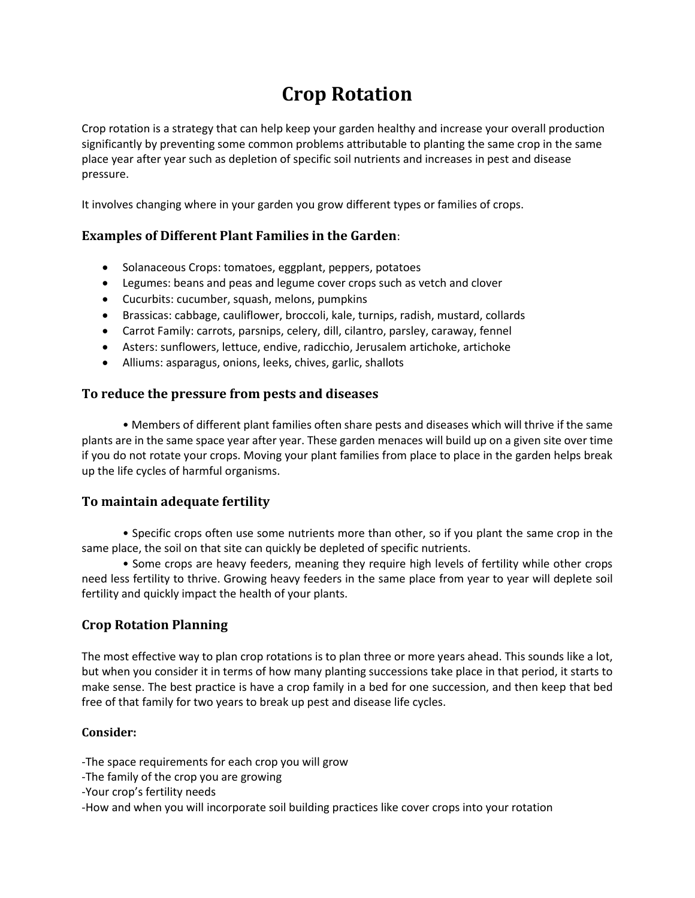# **Crop Rotation**

Crop rotation is a strategy that can help keep your garden healthy and increase your overall production significantly by preventing some common problems attributable to planting the same crop in the same place year after year such as depletion of specific soil nutrients and increases in pest and disease pressure.

It involves changing where in your garden you grow different types or families of crops.

## **Examples of Different Plant Families in the Garden**:

- Solanaceous Crops: tomatoes, eggplant, peppers, potatoes
- Legumes: beans and peas and legume cover crops such as vetch and clover
- Cucurbits: cucumber, squash, melons, pumpkins
- Brassicas: cabbage, cauliflower, broccoli, kale, turnips, radish, mustard, collards
- Carrot Family: carrots, parsnips, celery, dill, cilantro, parsley, caraway, fennel
- Asters: sunflowers, lettuce, endive, radicchio, Jerusalem artichoke, artichoke
- Alliums: asparagus, onions, leeks, chives, garlic, shallots

#### **To reduce the pressure from pests and diseases**

• Members of different plant families often share pests and diseases which will thrive if the same plants are in the same space year after year. These garden menaces will build up on a given site over time if you do not rotate your crops. Moving your plant families from place to place in the garden helps break up the life cycles of harmful organisms.

## **To maintain adequate fertility**

• Specific crops often use some nutrients more than other, so if you plant the same crop in the same place, the soil on that site can quickly be depleted of specific nutrients.

• Some crops are heavy feeders, meaning they require high levels of fertility while other crops need less fertility to thrive. Growing heavy feeders in the same place from year to year will deplete soil fertility and quickly impact the health of your plants.

## **Crop Rotation Planning**

The most effective way to plan crop rotations is to plan three or more years ahead. This sounds like a lot, but when you consider it in terms of how many planting successions take place in that period, it starts to make sense. The best practice is have a crop family in a bed for one succession, and then keep that bed free of that family for two years to break up pest and disease life cycles.

#### **Consider:**

-The space requirements for each crop you will grow

- -The family of the crop you are growing
- -Your crop's fertility needs

-How and when you will incorporate soil building practices like cover crops into your rotation